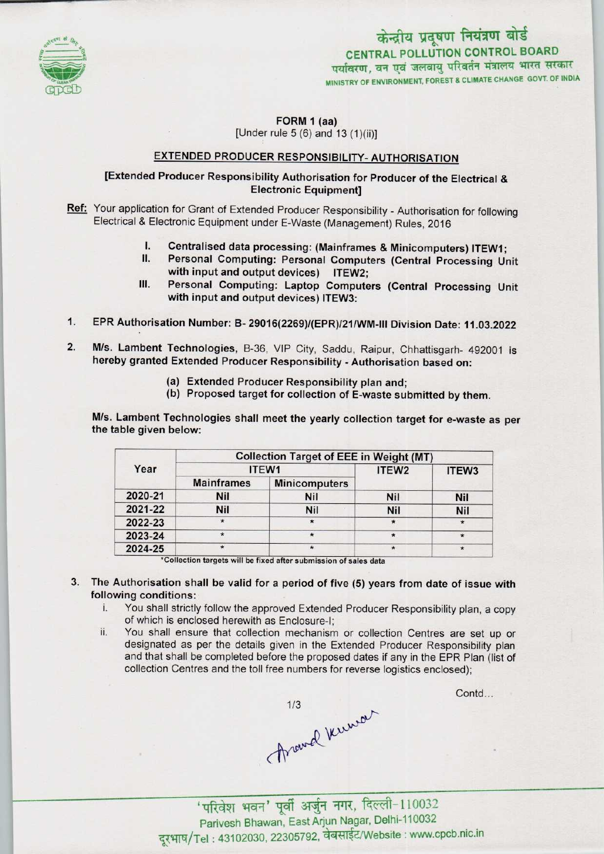

MINISTRY OF ENVIRONMENT, FOREST & CLIMATE CHANGE GOVT. OF INDIA CENTRAL POLLUTION CONTROL BOARD **Fraix of alget**<br>**N CONTROL BOARD**<br>रिवर्तन मंत्रालय भारत सरक<br>& CLIMATE CHANGE GOVT. OF II

### FORM 1 (aa) [Under rule 5 (6) and 13 (1)(ii)]

## EXTENDED PRODUCER RESPONSIBILITY- AUTHORISATION

## [Extended Producer Responsibility Authorisation for Producer of the Electrical & Electronic Equipment]

- Ref: Your application for Grant of Extended Producer Responsibility Authorisation for following Electrical & Electronic Equipment under E-Waste (Management) Rules, 2016
	- I. Centralised data processing: (Mainframes & Minicomputers) ITEW1;<br>II. Personal Computing: Personal Computers (Central Processing Un
	- Personal Computing: Personal Computers (Central Processing Unit with input and output devices) ITEW2;
	- III. Personal Computing: Laptop Computers (Central Processing Unit with input and output devices) ITEW3:
- 1.EPR Authorisation Number: B- 29016(2269)/<EPR)/21/WM-lll Division Date: 11.03.2022
- 2. M/s. Lambent Technologies, B-36, VIP City, Saddu, Raipur, Chhattisgarh- 492001 is hereby granted Extended Producer Responsibility - Authorisation based on:
	- (a)Extended Producer Responsibility plan and;
	- (b) Proposed target for collection of E-waste submitted by them.

M/s. Lambent Technologies shall meet the yearly collection target for e-waste as per the table given below:

| Year    | <b>Collection Target of EEE in Weight (MT)</b> |                      |                   |            |
|---------|------------------------------------------------|----------------------|-------------------|------------|
|         | ITEW1                                          |                      | ITEW <sub>2</sub> | ITEW3      |
|         | <b>Mainframes</b>                              | <b>Minicomputers</b> |                   |            |
| 2020-21 | <b>Nil</b>                                     | <b>Nil</b>           | <b>Nil</b>        | <b>Nil</b> |
| 2021-22 | Nil                                            | <b>Nil</b>           | <b>Nil</b>        | Nil        |
| 2022-23 | $\star$                                        |                      | $\star$           |            |
| 2023-24 | $\star$                                        |                      | $\star$           |            |
| 2024-25 | $\star$                                        | $\star$              |                   | $\star$    |

\*Collection targets will be fixed after submission of sales data

- 3. The Authorisation shall be valid for a period of five (5) years from date of issue with following conditions:<br>i. You shall strictly
	- You shall strictly follow the approved Extended Producer Responsibility plan, a copy of which is enclosed herewith as Enclosure-I;
	- ii. You shall ensure that collection mechanism or collection Centres are set up or designated as per the details given in the Extended Producer Responsibility plan and that shall be completed before the proposed dates if any in the EPR Plan (list of collection Centres and the toll free numbers for reverse logistics enclosed);

Throwd knew

Contd...

'परिवेश भवन' पूर्वी अर्जुन नगर, दिल्ली-110032<br>Parivesh Bhawan, East Arjun Nagar, Delhi-110032<br>Tel : 43102030, 22305792, वेबसाईट/Website : www.cpcb.nic.ir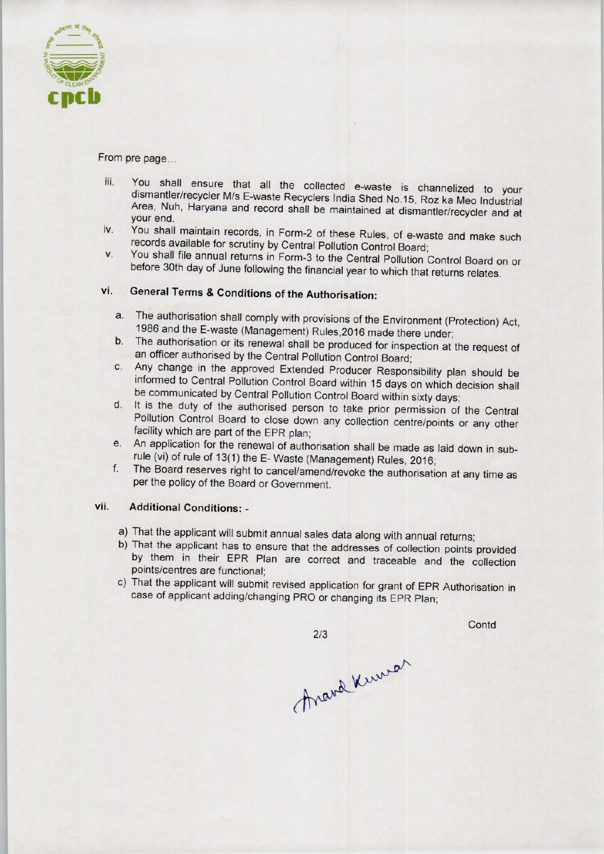

From pre page...

- iii. You shall ensure that all the collected e-waste is channelized to your dismantler/recycler M/s E-waste Recyclers India Shed No.15, Roz ka Meo Industrial Area, Nuh, Haryana and record shall be maintained at dismantler/recycler and at your end.
- iv. You shall maintain records, in Form-2 of these Rules, of e-waste and make such records available for scrutiny by Central Pollution Control Board;
- v. You shall file annual returns in Form-3 to the Central Pollution Control Board on or before 30th day of June following the financial year to which that returns relates.

# vi. General Terms & Conditions of the Authorisation:

- a. The authorisation shall comply with provisions of the Environment (Protection) Act, 1986 and the E-waste (Management) Rules,2016 made there under;
- b.The authorisation or its renewal shall be produced for inspection at the request of an officer authorised by the Central Pollution Control Board;
- c.Any change in the approved Extended Producer Responsibility plan should be informed to Central Pollution Control Board within 15 days on which decision shall be communicated by Central Pollution Control Board within sixty days;
- d. It is the duty of the authorised person to take prior permission of the Central Pollution Control Board to close down any collection centre/points or any other facility which are part of the EPR plan;
- e. An application for the renewal of authorisation shall be made as laid down in subrule (vi) of rule of 13(1) the E-Waste (Management) Rules, 2016;
- f.The Board reserves right to cancel/amend/revoke the authorisation at any time as per the policy of the Board or Government.

### vii. Additional Conditions: -

- a) That the applicant will submit annual sales data along with annual returns;
- b) That the applicant has to ensure that the addresses of collection points provided by them in their EPR Plan are correct and traceable and the collection points/centres are functional;
- c) That the applicant will submit revised application for grant of EPR Authorisation in case of applicant adding/changing PRO or changing its EPR Plan;

 $2/3$ 

**Contd** 

Anana Kuman